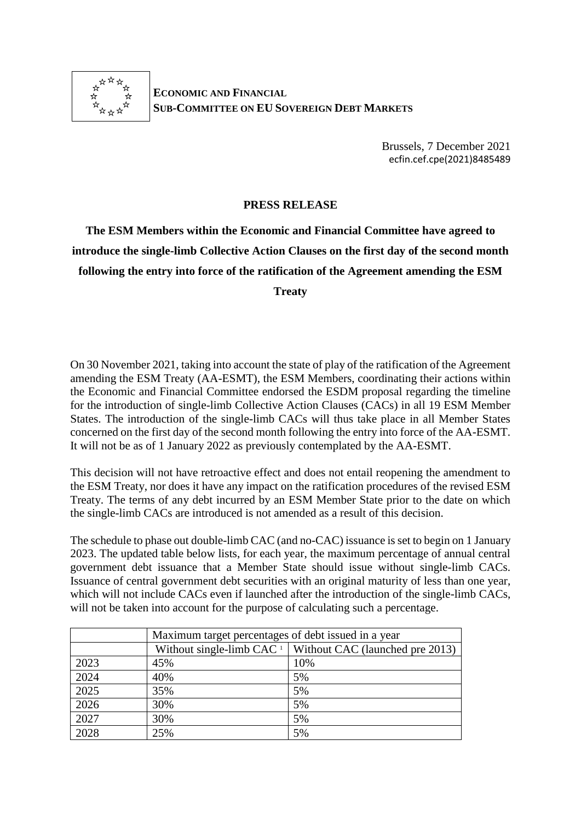

**ECONOMIC AND FINANCIAL SUB-COMMITTEE ON EU SOVEREIGN DEBT MARKETS**

> Brussels, 7 December 2021 ecfin.cef.cpe(2021)8485489

## **PRESS RELEASE**

**The ESM Members within the Economic and Financial Committee have agreed to introduce the single-limb Collective Action Clauses on the first day of the second month following the entry into force of the ratification of the Agreement amending the ESM** 

**Treaty**

On 30 November 2021, taking into account the state of play of the ratification of the Agreement amending the ESM Treaty (AA-ESMT), the ESM Members, coordinating their actions within the Economic and Financial Committee endorsed the ESDM proposal regarding the timeline for the introduction of single-limb Collective Action Clauses (CACs) in all 19 ESM Member States. The introduction of the single-limb CACs will thus take place in all Member States concerned on the first day of the second month following the entry into force of the AA-ESMT. It will not be as of 1 January 2022 as previously contemplated by the AA-ESMT.

This decision will not have retroactive effect and does not entail reopening the amendment to the ESM Treaty, nor does it have any impact on the ratification procedures of the revised ESM Treaty. The terms of any debt incurred by an ESM Member State prior to the date on which the single-limb CACs are introduced is not amended as a result of this decision.

The schedule to phase out double-limb CAC (and no-CAC) issuance is set to begin on 1 January 2023. The updated table below lists, for each year, the maximum percentage of annual central government debt issuance that a Member State should issue without single-limb CACs. Issuance of central government debt securities with an original maturity of less than one year, which will not include CACs even if launched after the introduction of the single-limb CACs, will not be taken into account for the purpose of calculating such a percentage.

|      | Maximum target percentages of debt issued in a year |                                                                 |
|------|-----------------------------------------------------|-----------------------------------------------------------------|
|      |                                                     | Without single-limb CAC $\perp$ Without CAC (launched pre 2013) |
| 2023 | 45%                                                 | 10%                                                             |
| 2024 | 40%                                                 | 5%                                                              |
| 2025 | 35%                                                 | 5%                                                              |
| 2026 | 30%                                                 | 5%                                                              |
| 2027 | 30%                                                 | 5%                                                              |
| 2028 | 25%                                                 | 5%                                                              |